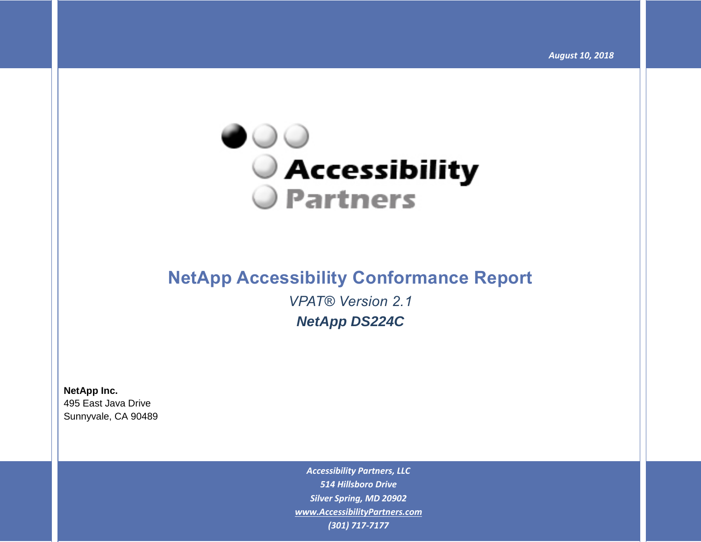

# **NetApp Accessibility Conformance Report** *VPAT® Version 2.1 NetApp DS224C*

**NetApp Inc.** 495 East Java Drive Sunnyvale, CA 90489

> *Accessibility Partners, LLC 514 Hillsboro Drive Silver Spring, MD 20902 [www.AccessibilityPartners.com](http://www.accessibilitypartners.com/) (301) 717-7177*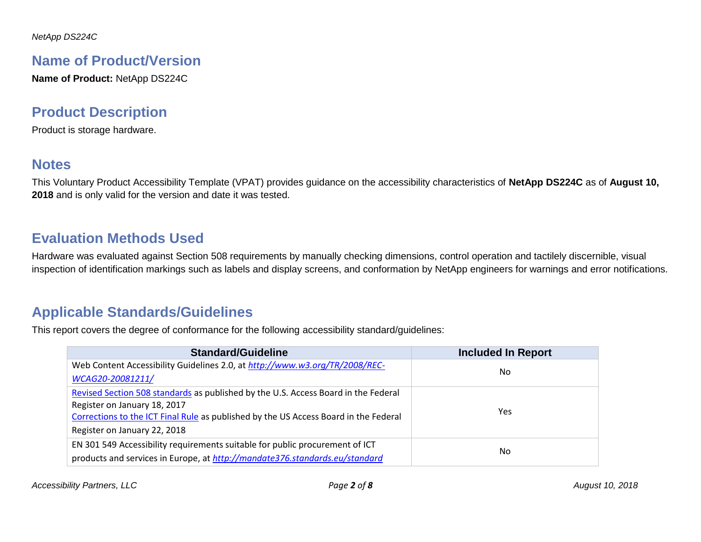## **Name of Product/Version**

**Name of Product:** NetApp DS224C

## **Product Description**

Product is storage hardware.

## **Notes**

This Voluntary Product Accessibility Template (VPAT) provides guidance on the accessibility characteristics of **NetApp DS224C** as of **August 10, 2018** and is only valid for the version and date it was tested.

## **Evaluation Methods Used**

Hardware was evaluated against Section 508 requirements by manually checking dimensions, control operation and tactilely discernible, visual inspection of identification markings such as labels and display screens, and conformation by NetApp engineers for warnings and error notifications.

## **Applicable Standards/Guidelines**

This report covers the degree of conformance for the following accessibility standard/guidelines:

| <b>Standard/Guideline</b>                                                            | <b>Included In Report</b> |
|--------------------------------------------------------------------------------------|---------------------------|
| Web Content Accessibility Guidelines 2.0, at http://www.w3.org/TR/2008/REC-          | No.                       |
| WCAG20-20081211/                                                                     |                           |
| Revised Section 508 standards as published by the U.S. Access Board in the Federal   |                           |
| Register on January 18, 2017                                                         | <b>Yes</b>                |
| Corrections to the ICT Final Rule as published by the US Access Board in the Federal |                           |
| Register on January 22, 2018                                                         |                           |
| EN 301 549 Accessibility requirements suitable for public procurement of ICT         |                           |
| products and services in Europe, at http://mandate376.standards.eu/standard          | No.                       |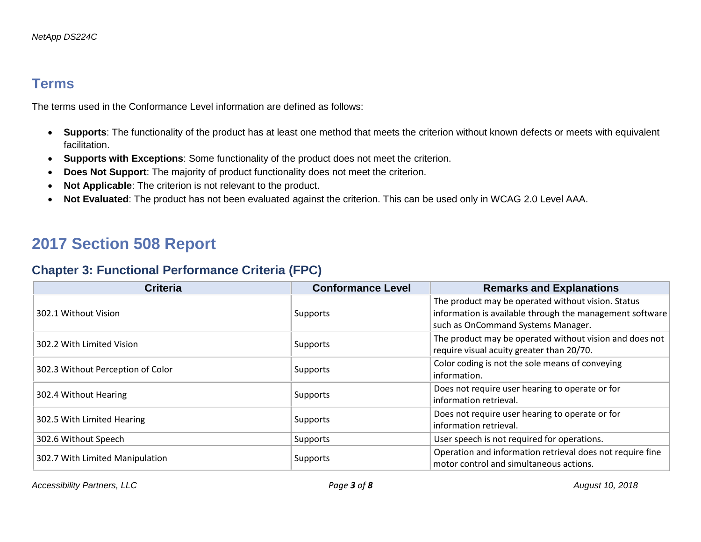## **Terms**

The terms used in the Conformance Level information are defined as follows:

- **Supports**: The functionality of the product has at least one method that meets the criterion without known defects or meets with equivalent facilitation.
- **Supports with Exceptions**: Some functionality of the product does not meet the criterion.
- **Does Not Support**: The majority of product functionality does not meet the criterion.
- **Not Applicable**: The criterion is not relevant to the product.
- **Not Evaluated**: The product has not been evaluated against the criterion. This can be used only in WCAG 2.0 Level AAA.

# **2017 Section 508 Report**

### **Chapter 3: Functional Performance Criteria (FPC)**

| <b>Criteria</b>                   | <b>Conformance Level</b> | <b>Remarks and Explanations</b>                                                                                                                      |
|-----------------------------------|--------------------------|------------------------------------------------------------------------------------------------------------------------------------------------------|
| 302.1 Without Vision              | Supports                 | The product may be operated without vision. Status<br>information is available through the management software<br>such as OnCommand Systems Manager. |
| 302.2 With Limited Vision         | Supports                 | The product may be operated without vision and does not<br>require visual acuity greater than 20/70.                                                 |
| 302.3 Without Perception of Color | Supports                 | Color coding is not the sole means of conveying<br>information.                                                                                      |
| 302.4 Without Hearing             | Supports                 | Does not require user hearing to operate or for<br>information retrieval.                                                                            |
| 302.5 With Limited Hearing        | Supports                 | Does not require user hearing to operate or for<br>information retrieval.                                                                            |
| 302.6 Without Speech              | Supports                 | User speech is not required for operations.                                                                                                          |
| 302.7 With Limited Manipulation   | Supports                 | Operation and information retrieval does not require fine<br>motor control and simultaneous actions.                                                 |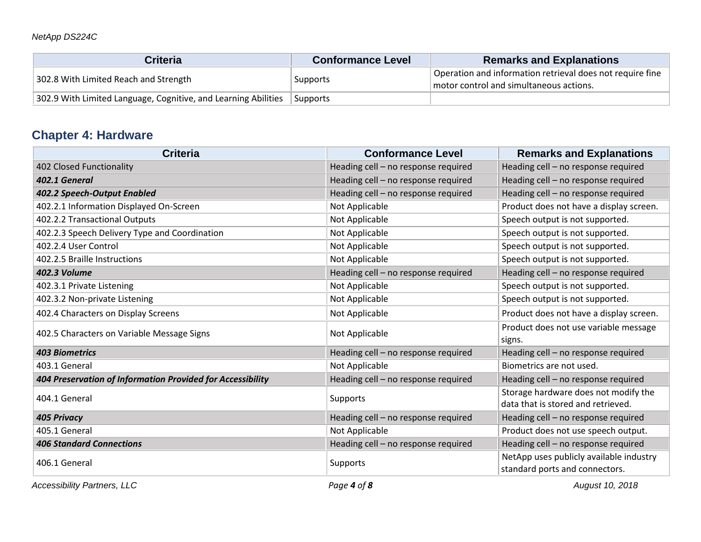| <b>Criteria</b>                                                | <b>Conformance Level</b> | <b>Remarks and Explanations</b>                                                                      |
|----------------------------------------------------------------|--------------------------|------------------------------------------------------------------------------------------------------|
| 302.8 With Limited Reach and Strength                          | Supports                 | Operation and information retrieval does not require fine<br>motor control and simultaneous actions. |
| 302.9 With Limited Language, Cognitive, and Learning Abilities | Supports                 |                                                                                                      |

## **Chapter 4: Hardware**

| <b>Criteria</b>                                            | <b>Conformance Level</b>            | <b>Remarks and Explanations</b>                                            |
|------------------------------------------------------------|-------------------------------------|----------------------------------------------------------------------------|
| 402 Closed Functionality                                   | Heading cell - no response required | Heading cell - no response required                                        |
| 402.1 General                                              | Heading cell - no response required | Heading cell - no response required                                        |
| 402.2 Speech-Output Enabled                                | Heading cell - no response required | Heading cell - no response required                                        |
| 402.2.1 Information Displayed On-Screen                    | Not Applicable                      | Product does not have a display screen.                                    |
| 402.2.2 Transactional Outputs                              | Not Applicable                      | Speech output is not supported.                                            |
| 402.2.3 Speech Delivery Type and Coordination              | Not Applicable                      | Speech output is not supported.                                            |
| 402.2.4 User Control                                       | Not Applicable                      | Speech output is not supported.                                            |
| 402.2.5 Braille Instructions                               | Not Applicable                      | Speech output is not supported.                                            |
| <b>402.3 Volume</b>                                        | Heading cell - no response required | Heading cell - no response required                                        |
| 402.3.1 Private Listening                                  | Not Applicable                      | Speech output is not supported.                                            |
| 402.3.2 Non-private Listening                              | Not Applicable                      | Speech output is not supported.                                            |
| 402.4 Characters on Display Screens                        | Not Applicable                      | Product does not have a display screen.                                    |
| 402.5 Characters on Variable Message Signs                 | Not Applicable                      | Product does not use variable message<br>signs.                            |
| <b>403 Biometrics</b>                                      | Heading cell - no response required | Heading cell - no response required                                        |
| 403.1 General                                              | Not Applicable                      | Biometrics are not used.                                                   |
| 404 Preservation of Information Provided for Accessibility | Heading cell - no response required | Heading cell - no response required                                        |
| 404.1 General                                              | Supports                            | Storage hardware does not modify the<br>data that is stored and retrieved. |
| <b>405 Privacy</b>                                         | Heading cell - no response required | Heading cell - no response required                                        |
| 405.1 General                                              | Not Applicable                      | Product does not use speech output.                                        |
| <b>406 Standard Connections</b>                            | Heading cell - no response required | Heading cell - no response required                                        |
| 406.1 General                                              | Supports                            | NetApp uses publicly available industry<br>standard ports and connectors.  |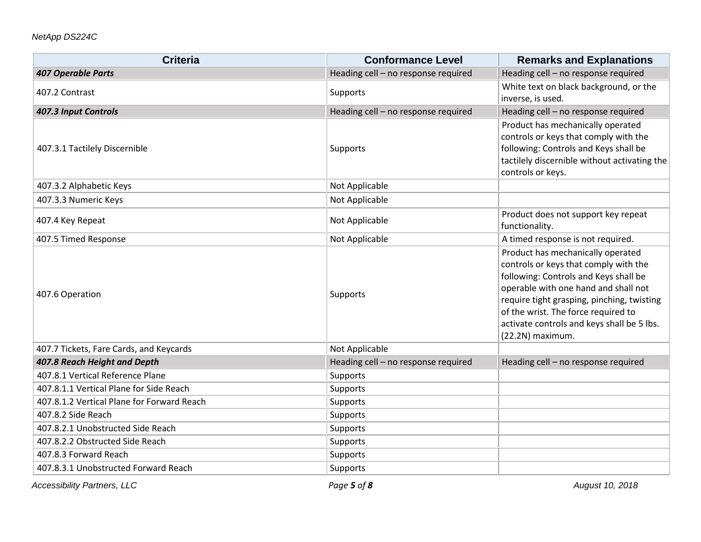| <b>Criteria</b>                            | <b>Conformance Level</b>            | <b>Remarks and Explanations</b>                                                                                                                                                                                                                                                                                    |
|--------------------------------------------|-------------------------------------|--------------------------------------------------------------------------------------------------------------------------------------------------------------------------------------------------------------------------------------------------------------------------------------------------------------------|
| <b>407 Operable Parts</b>                  | Heading cell - no response required | Heading cell - no response required                                                                                                                                                                                                                                                                                |
| 407.2 Contrast                             | Supports                            | White text on black background, or the                                                                                                                                                                                                                                                                             |
|                                            |                                     | inverse, is used.                                                                                                                                                                                                                                                                                                  |
| 407.3 Input Controls                       | Heading cell - no response required | Heading cell - no response required                                                                                                                                                                                                                                                                                |
| 407.3.1 Tactilely Discernible              | Supports                            | Product has mechanically operated<br>controls or keys that comply with the<br>following: Controls and Keys shall be<br>tactilely discernible without activating the<br>controls or keys.                                                                                                                           |
| 407.3.2 Alphabetic Keys                    | Not Applicable                      |                                                                                                                                                                                                                                                                                                                    |
| 407.3.3 Numeric Keys                       | Not Applicable                      |                                                                                                                                                                                                                                                                                                                    |
| 407.4 Key Repeat                           | Not Applicable                      | Product does not support key repeat<br>functionality.                                                                                                                                                                                                                                                              |
| 407.5 Timed Response                       | Not Applicable                      | A timed response is not required.                                                                                                                                                                                                                                                                                  |
| 407.6 Operation                            | Supports                            | Product has mechanically operated<br>controls or keys that comply with the<br>following: Controls and Keys shall be<br>operable with one hand and shall not<br>require tight grasping, pinching, twisting<br>of the wrist. The force required to<br>activate controls and keys shall be 5 lbs.<br>(22.2N) maximum. |
| 407.7 Tickets, Fare Cards, and Keycards    | Not Applicable                      |                                                                                                                                                                                                                                                                                                                    |
| 407.8 Reach Height and Depth               | Heading cell - no response required | Heading cell - no response required                                                                                                                                                                                                                                                                                |
| 407.8.1 Vertical Reference Plane           | Supports                            |                                                                                                                                                                                                                                                                                                                    |
| 407.8.1.1 Vertical Plane for Side Reach    | Supports                            |                                                                                                                                                                                                                                                                                                                    |
| 407.8.1.2 Vertical Plane for Forward Reach | Supports                            |                                                                                                                                                                                                                                                                                                                    |
| 407.8.2 Side Reach                         | Supports                            |                                                                                                                                                                                                                                                                                                                    |
| 407.8.2.1 Unobstructed Side Reach          | Supports                            |                                                                                                                                                                                                                                                                                                                    |
| 407.8.2.2 Obstructed Side Reach            | Supports                            |                                                                                                                                                                                                                                                                                                                    |
| 407.8.3 Forward Reach                      | Supports                            |                                                                                                                                                                                                                                                                                                                    |
| 407.8.3.1 Unobstructed Forward Reach       | Supports                            |                                                                                                                                                                                                                                                                                                                    |

*Accessibility Partners, LLC Page 5 of 8 August 10, 2018*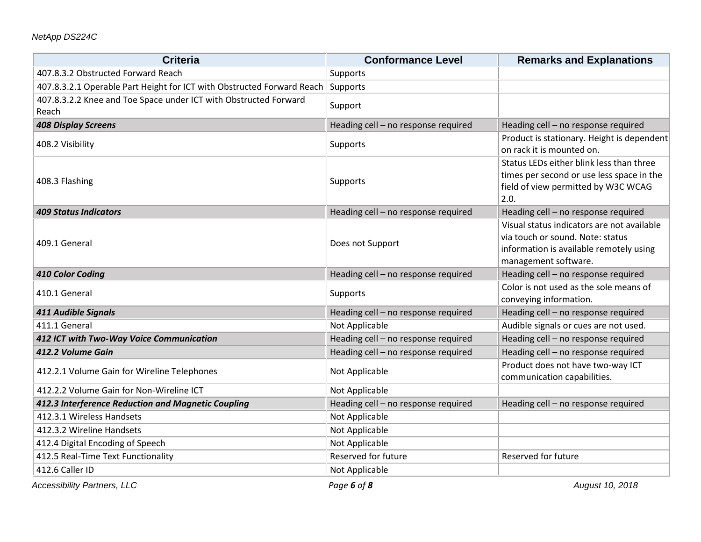| <b>Criteria</b>                                                           | <b>Conformance Level</b>            | <b>Remarks and Explanations</b>                                                                                                                   |
|---------------------------------------------------------------------------|-------------------------------------|---------------------------------------------------------------------------------------------------------------------------------------------------|
| 407.8.3.2 Obstructed Forward Reach                                        | Supports                            |                                                                                                                                                   |
| 407.8.3.2.1 Operable Part Height for ICT with Obstructed Forward Reach    | Supports                            |                                                                                                                                                   |
| 407.8.3.2.2 Knee and Toe Space under ICT with Obstructed Forward<br>Reach | Support                             |                                                                                                                                                   |
| <b>408 Display Screens</b>                                                | Heading cell - no response required | Heading cell - no response required                                                                                                               |
| 408.2 Visibility                                                          | Supports                            | Product is stationary. Height is dependent<br>on rack it is mounted on.                                                                           |
| 408.3 Flashing                                                            | Supports                            | Status LEDs either blink less than three<br>times per second or use less space in the<br>field of view permitted by W3C WCAG<br>2.0.              |
| <b>409 Status Indicators</b>                                              | Heading cell - no response required | Heading cell - no response required                                                                                                               |
| 409.1 General                                                             | Does not Support                    | Visual status indicators are not available<br>via touch or sound. Note: status<br>information is available remotely using<br>management software. |
| 410 Color Coding                                                          | Heading cell - no response required | Heading cell - no response required                                                                                                               |
| 410.1 General                                                             | Supports                            | Color is not used as the sole means of<br>conveying information.                                                                                  |
| 411 Audible Signals                                                       | Heading cell - no response required | Heading cell - no response required                                                                                                               |
| 411.1 General                                                             | Not Applicable                      | Audible signals or cues are not used.                                                                                                             |
| 412 ICT with Two-Way Voice Communication                                  | Heading cell - no response required | Heading cell - no response required                                                                                                               |
| 412.2 Volume Gain                                                         | Heading cell - no response required | Heading cell - no response required                                                                                                               |
| 412.2.1 Volume Gain for Wireline Telephones                               | Not Applicable                      | Product does not have two-way ICT<br>communication capabilities.                                                                                  |
| 412.2.2 Volume Gain for Non-Wireline ICT                                  | Not Applicable                      |                                                                                                                                                   |
| 412.3 Interference Reduction and Magnetic Coupling                        | Heading cell - no response required | Heading cell - no response required                                                                                                               |
| 412.3.1 Wireless Handsets                                                 | Not Applicable                      |                                                                                                                                                   |
| 412.3.2 Wireline Handsets                                                 | Not Applicable                      |                                                                                                                                                   |
| 412.4 Digital Encoding of Speech                                          | Not Applicable                      |                                                                                                                                                   |
| 412.5 Real-Time Text Functionality                                        | Reserved for future                 | Reserved for future                                                                                                                               |
| 412.6 Caller ID                                                           | Not Applicable                      |                                                                                                                                                   |

*Accessibility Partners, LLC Page 6 of 8 August 10, 2018*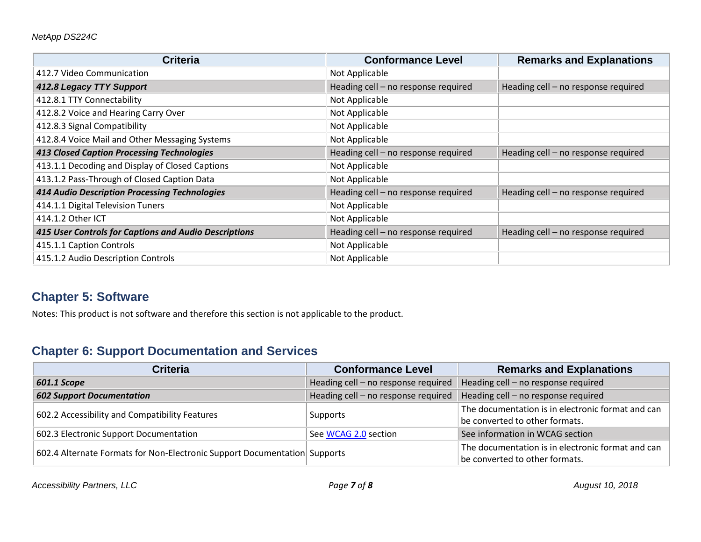| <b>Criteria</b>                                       | <b>Conformance Level</b>            | <b>Remarks and Explanations</b>     |
|-------------------------------------------------------|-------------------------------------|-------------------------------------|
| 412.7 Video Communication                             | Not Applicable                      |                                     |
| 412.8 Legacy TTY Support                              | Heading cell - no response required | Heading cell - no response required |
| 412.8.1 TTY Connectability                            | Not Applicable                      |                                     |
| 412.8.2 Voice and Hearing Carry Over                  | Not Applicable                      |                                     |
| 412.8.3 Signal Compatibility                          | Not Applicable                      |                                     |
| 412.8.4 Voice Mail and Other Messaging Systems        | Not Applicable                      |                                     |
| <b>413 Closed Caption Processing Technologies</b>     | Heading cell - no response required | Heading cell - no response required |
| 413.1.1 Decoding and Display of Closed Captions       | Not Applicable                      |                                     |
| 413.1.2 Pass-Through of Closed Caption Data           | Not Applicable                      |                                     |
| <b>414 Audio Description Processing Technologies</b>  | Heading cell - no response required | Heading cell - no response required |
| 414.1.1 Digital Television Tuners                     | Not Applicable                      |                                     |
| 414.1.2 Other ICT                                     | Not Applicable                      |                                     |
| 415 User Controls for Captions and Audio Descriptions | Heading cell - no response required | Heading cell - no response required |
| 415.1.1 Caption Controls                              | Not Applicable                      |                                     |
| 415.1.2 Audio Description Controls                    | Not Applicable                      |                                     |

### **Chapter 5: Software**

Notes: This product is not software and therefore this section is not applicable to the product.

## **Chapter 6: Support Documentation and Services**

| <b>Criteria</b>                                                           | <b>Conformance Level</b>            | <b>Remarks and Explanations</b>                                                     |
|---------------------------------------------------------------------------|-------------------------------------|-------------------------------------------------------------------------------------|
| 601.1 Scope                                                               | Heading cell - no response required | Heading cell - no response required                                                 |
| <b>602 Support Documentation</b>                                          | Heading cell - no response required | Heading cell - no response required                                                 |
| 602.2 Accessibility and Compatibility Features                            | Supports                            | The documentation is in electronic format and can<br>be converted to other formats. |
| 602.3 Electronic Support Documentation                                    | See WCAG 2.0 section                | See information in WCAG section                                                     |
| 602.4 Alternate Formats for Non-Electronic Support Documentation Supports |                                     | The documentation is in electronic format and can<br>be converted to other formats. |